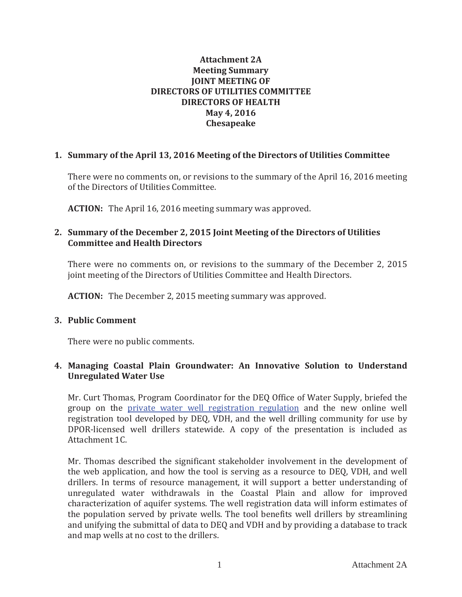## **Attachment 2A Meeting Summary JOINT MEETING OF DIRECTORS OF UTILITIES COMMITTEE DIRECTORS OF HEALTH May 4, 2016 Chesapeake**

# **1. Summary of the April 13, 2016 Meeting of the Directors of Utilities Committee**

There were no comments on, or revisions to the summary of the April 16, 2016 meeting of the Directors of Utilities Committee.

**ACTION:** The April 16, 2016 meeting summary was approved.

## **2. Summary of the December 2, 2015 Joint Meeting of the Directors of Utilities Committee and Health Directors**

There were no comments on, or revisions to the summary of the December 2, 2015 joint meeting of the Directors of Utilities Committee and Health Directors.

**ACTION:** The December 2, 2015 meeting summary was approved.

## **3. Public Comment**

There were no public comments.

# **4. Managing Coastal Plain Groundwater: An Innovative Solution to Understand Unregulated Water Use**

Mr. Curt Thomas, Program Coordinator for the DEQ Office of Water Supply, briefed the group on the private water well registration regulation and the new online well registration tool developed by DEQ, VDH, and the well drilling community for use by DPOR-licensed well drillers statewide. A copy of the presentation is included as Attachment 1C.

Mr. Thomas described the significant stakeholder involvement in the development of the web application, and how the tool is serving as a resource to DEQ, VDH, and well drillers. In terms of resource management, it will support a better understanding of unregulated water withdrawals in the Coastal Plain and allow for improved characterization of aquifer systems. The well registration data will inform estimates of the population served by private wells. The tool benefits well drillers by streamlining and unifying the submittal of data to DEQ and VDH and by providing a database to track and map wells at no cost to the drillers.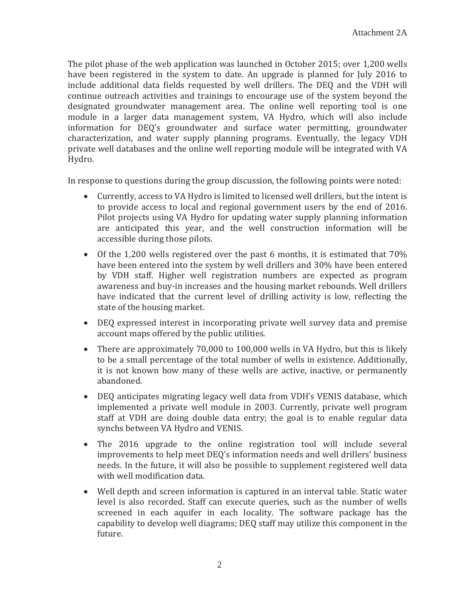The pilot phase of the web application was launched in October 2015; over 1,200 wells have been registered in the system to date. An upgrade is planned for July 2016 to include additional data fields requested by well drillers. The DEQ and the VDH will continue outreach activities and trainings to encourage use of the system beyond the designated groundwater management area. The online well reporting tool is one module in a larger data management system, VA Hydro, which will also include information for DEQ's groundwater and surface water permitting, groundwater characterization, and water supply planning programs. Eventually, the legacy VDH private well databases and the online well reporting module will be integrated with VA Hydro.

In response to questions during the group discussion, the following points were noted:

- Currently, access to VA Hydro is limited to licensed well drillers, but the intent is to provide access to local and regional government users by the end of 2016. Pilot projects using VA Hydro for updating water supply planning information are anticipated this year, and the well construction information will be accessible during those pilots.
- Of the 1,200 wells registered over the past 6 months, it is estimated that  $70\%$ have been entered into the system by well drillers and 30% have been entered by VDH staff. Higher well registration numbers are expected as program awareness and buy-in increases and the housing market rebounds. Well drillers have indicated that the current level of drilling activity is low, reflecting the state of the housing market.
- DEQ expressed interest in incorporating private well survey data and premise account maps offered by the public utilities.
- There are approximately 70,000 to 100,000 wells in VA Hydro, but this is likely to be a small percentage of the total number of wells in existence. Additionally, it is not known how many of these wells are active, inactive, or permanently abandoned.
- DEQ anticipates migrating legacy well data from VDH's VENIS database, which implemented a private well module in 2003. Currently, private well program staff at VDH are doing double data entry; the goal is to enable regular data synchs between VA Hydro and VENIS.
- The 2016 upgrade to the online registration tool will include several improvements to help meet DEQ's information needs and well drillers' business needs. In the future, it will also be possible to supplement registered well data with well modification data.
- Well depth and screen information is captured in an interval table. Static water level is also recorded. Staff can execute queries, such as the number of wells screened in each aquifer in each locality. The software package has the capability to develop well diagrams: DEO staff may utilize this component in the future.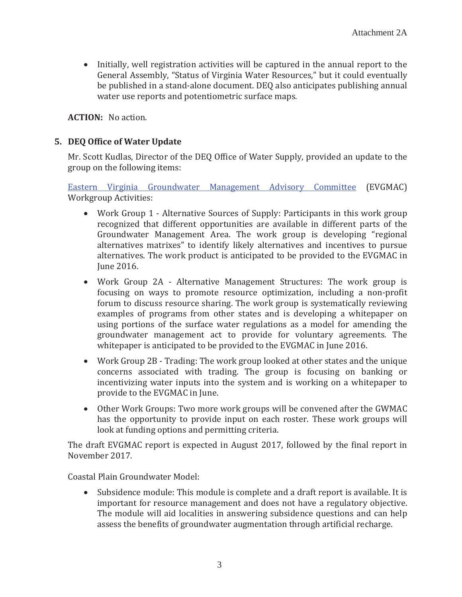• Initially, well registration activities will be captured in the annual report to the General Assembly, "Status of Virginia Water Resources," but it could eventually be published in a stand-alone document. DEQ also anticipates publishing annual water use reports and potentiometric surface maps.

**ACTION:** No action.

## **5. DEQ Office of Water Update**

Mr. Scott Kudlas, Director of the DEQ Office of Water Supply, provided an update to the group on the following items:

Eastern Virginia Groundwater Management Advisory Committee (EVGMAC) **Workgroup Activities:** 

- Work Group 1 Alternative Sources of Supply: Participants in this work group recognized that different opportunities are available in different parts of the Groundwater Management Area. The work group is developing "regional alternatives matrixes" to identify likely alternatives and incentives to pursue alternatives. The work product is anticipated to be provided to the EVGMAC in Iune 2016.
- Work Group 2A Alternative Management Structures: The work group is focusing on ways to promote resource optimization, including a non-profit forum to discuss resource sharing. The work group is systematically reviewing examples of programs from other states and is developing a whitepaper on using portions of the surface water regulations as a model for amending the groundwater management act to provide for voluntary agreements. The whitepaper is anticipated to be provided to the EVGMAC in June 2016.
- Work Group 2B Trading: The work group looked at other states and the unique concerns associated with trading. The group is focusing on banking or incentivizing water inputs into the system and is working on a whitepaper to provide to the EVGMAC in June.
- Other Work Groups: Two more work groups will be convened after the GWMAC has the opportunity to provide input on each roster. These work groups will look at funding options and permitting criteria.

The draft EVGMAC report is expected in August 2017, followed by the final report in November 2017.

Coastal Plain Groundwater Model:

• Subsidence module: This module is complete and a draft report is available. It is important for resource management and does not have a regulatory objective. The module will aid localities in answering subsidence questions and can help assess the benefits of groundwater augmentation through artificial recharge.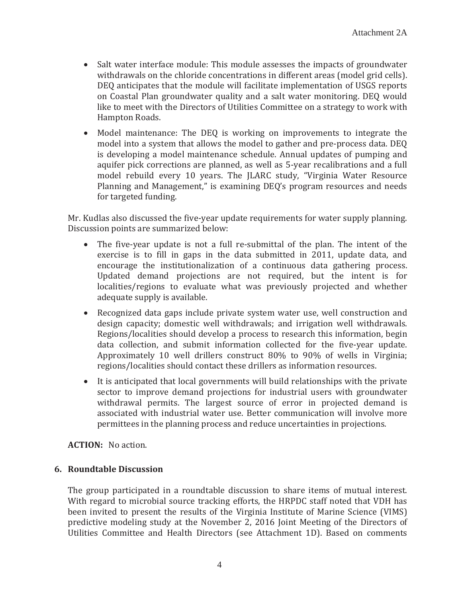- Salt water interface module: This module assesses the impacts of groundwater withdrawals on the chloride concentrations in different areas (model grid cells). DEQ anticipates that the module will facilitate implementation of USGS reports on Coastal Plan groundwater quality and a salt water monitoring. DEO would like to meet with the Directors of Utilities Committee on a strategy to work with Hampton Roads.
- Model maintenance: The DEQ is working on improvements to integrate the model into a system that allows the model to gather and pre-process data. DEQ is developing a model maintenance schedule. Annual updates of pumping and aquifer pick corrections are planned, as well as 5-year recalibrations and a full model rebuild every 10 years. The JLARC study, "Virginia Water Resource Planning and Management," is examining DEQ's program resources and needs for targeted funding.

Mr. Kudlas also discussed the five-year update requirements for water supply planning. Discussion points are summarized below:

- The five-year update is not a full re-submittal of the plan. The intent of the exercise is to fill in gaps in the data submitted in 2011, update data, and encourage the institutionalization of a continuous data gathering process. Updated demand projections are not required, but the intent is for localities/regions to evaluate what was previously projected and whether adequate supply is available.
- Recognized data gaps include private system water use, well construction and design capacity; domestic well withdrawals; and irrigation well withdrawals. Regions/localities should develop a process to research this information, begin data collection, and submit information collected for the five-year update. Approximately 10 well drillers construct 80% to 90% of wells in Virginia; regions/localities should contact these drillers as information resources.
- It is anticipated that local governments will build relationships with the private sector to improve demand projections for industrial users with groundwater withdrawal permits. The largest source of error in projected demand is associated with industrial water use. Better communication will involve more permittees in the planning process and reduce uncertainties in projections.

**ACTION:** No action.

## **6. Roundtable Discussion**

The group participated in a roundtable discussion to share items of mutual interest. With regard to microbial source tracking efforts, the HRPDC staff noted that VDH has been invited to present the results of the Virginia Institute of Marine Science (VIMS) predictive modeling study at the November 2, 2016 Joint Meeting of the Directors of Utilities Committee and Health Directors (see Attachment 1D). Based on comments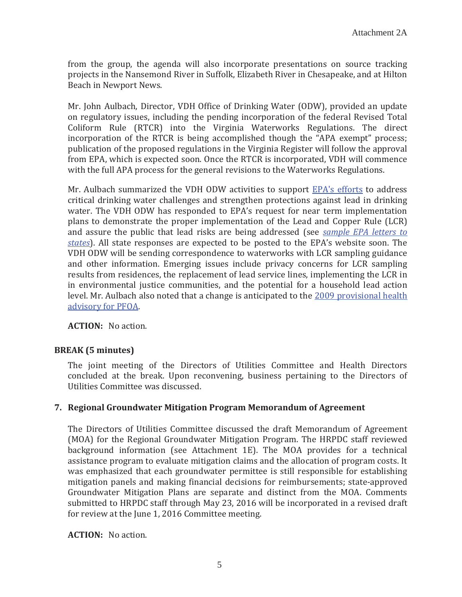from the group, the agenda will also incorporate presentations on source tracking projects in the Nansemond River in Suffolk, Elizabeth River in Chesapeake, and at Hilton Beach in Newport News.

Mr. John Aulbach, Director, VDH Office of Drinking Water (ODW), provided an update on regulatory issues, including the pending incorporation of the federal Revised Total Coliform Rule (RTCR) into the Virginia Waterworks Regulations. The direct incorporation of the RTCR is being accomplished though the "APA exempt" process; publication of the proposed regulations in the Virginia Register will follow the approval from EPA, which is expected soon. Once the RTCR is incorporated, VDH will commence with the full APA process for the general revisions to the Waterworks Regulations.

Mr. Aulbach summarized the VDH ODW activities to support EPA's efforts to address critical drinking water challenges and strengthen protections against lead in drinking water. The VDH ODW has responded to EPA's request for near term implementation plans to demonstrate the proper implementation of the Lead and Copper Rule (LCR) and assure the public that lead risks are being addressed (see sample EPA letters to *states*). All state responses are expected to be posted to the EPA's website soon. The VDH ODW will be sending correspondence to waterworks with LCR sampling guidance and other information. Emerging issues include privacy concerns for LCR sampling results from residences, the replacement of lead service lines, implementing the LCR in in environmental justice communities, and the potential for a household lead action level. Mr. Aulbach also noted that a change is anticipated to the 2009 provisional health advisory for PFOA.

**ACTION:** No action.

# **BREAK (5 minutes)**

The joint meeting of the Directors of Utilities Committee and Health Directors concluded at the break. Upon reconvening, business pertaining to the Directors of Utilities Committee was discussed.

## **7. Regional Groundwater Mitigation Program Memorandum of Agreement**

The Directors of Utilities Committee discussed the draft Memorandum of Agreement (MOA) for the Regional Groundwater Mitigation Program. The HRPDC staff reviewed background information (see Attachment 1E). The MOA provides for a technical assistance program to evaluate mitigation claims and the allocation of program costs. It was emphasized that each groundwater permittee is still responsible for establishing mitigation panels and making financial decisions for reimbursements; state-approved Groundwater Mitigation Plans are separate and distinct from the MOA. Comments submitted to HRPDC staff through May 23, 2016 will be incorporated in a revised draft for review at the June 1, 2016 Committee meeting.

**ACTION:** No action.